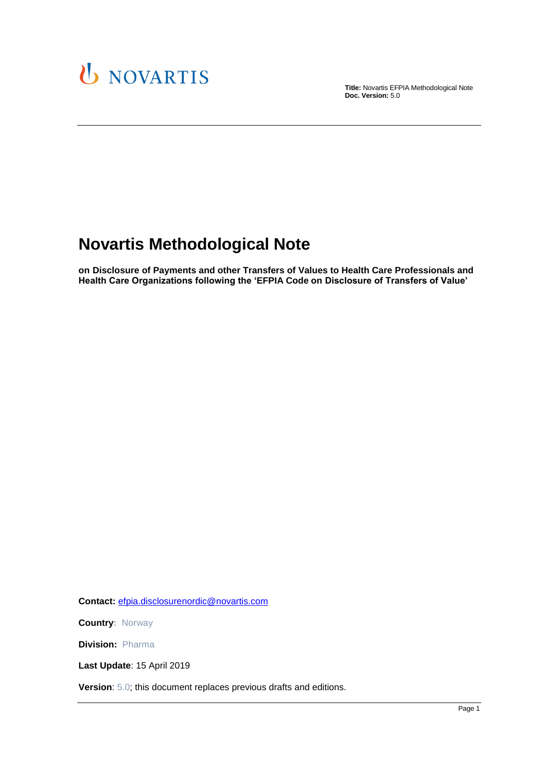

# **Novartis Methodological Note**

**on Disclosure of Payments and other Transfers of Values to Health Care Professionals and Health Care Organizations following the 'EFPIA Code on Disclosure of Transfers of Value'**

**Contact:** [efpia.disclosurenordic@novartis.com](mailto:efpia.disclosurenordic@novartis.com)

**Country:** Norway

**Division:** Pharma

**Last Update**: 15 April 2019

**Version**: 5.0; this document replaces previous drafts and editions.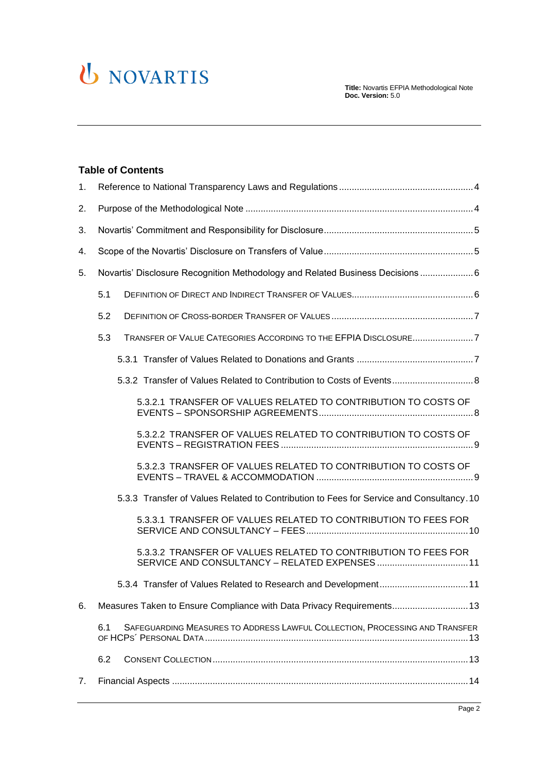

#### **Table of Contents**

| 1. |     |                                                                                          |  |
|----|-----|------------------------------------------------------------------------------------------|--|
| 2. |     |                                                                                          |  |
| 3. |     |                                                                                          |  |
| 4. |     |                                                                                          |  |
| 5. |     | Novartis' Disclosure Recognition Methodology and Related Business Decisions6             |  |
|    | 5.1 |                                                                                          |  |
|    | 5.2 |                                                                                          |  |
|    | 5.3 | TRANSFER OF VALUE CATEGORIES ACCORDING TO THE EFPIA DISCLOSURE7                          |  |
|    |     |                                                                                          |  |
|    |     | 5.3.2 Transfer of Values Related to Contribution to Costs of Events 8                    |  |
|    |     | 5.3.2.1 TRANSFER OF VALUES RELATED TO CONTRIBUTION TO COSTS OF                           |  |
|    |     | 5.3.2.2 TRANSFER OF VALUES RELATED TO CONTRIBUTION TO COSTS OF                           |  |
|    |     | 5.3.2.3 TRANSFER OF VALUES RELATED TO CONTRIBUTION TO COSTS OF                           |  |
|    |     | 5.3.3 Transfer of Values Related to Contribution to Fees for Service and Consultancy. 10 |  |
|    |     | 5.3.3.1 TRANSFER OF VALUES RELATED TO CONTRIBUTION TO FEES FOR                           |  |
|    |     | 5.3.3.2 TRANSFER OF VALUES RELATED TO CONTRIBUTION TO FEES FOR                           |  |
|    |     | 5.3.4 Transfer of Values Related to Research and Development 11                          |  |
| 6. |     | Measures Taken to Ensure Compliance with Data Privacy Requirements 13                    |  |
|    | 6.1 | SAFEGUARDING MEASURES TO ADDRESS LAWFUL COLLECTION, PROCESSING AND TRANSFER              |  |
|    | 6.2 |                                                                                          |  |
| 7. |     |                                                                                          |  |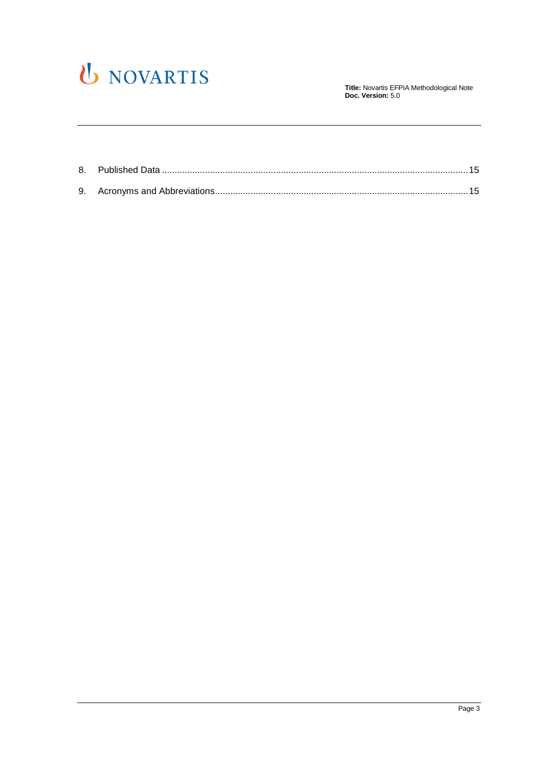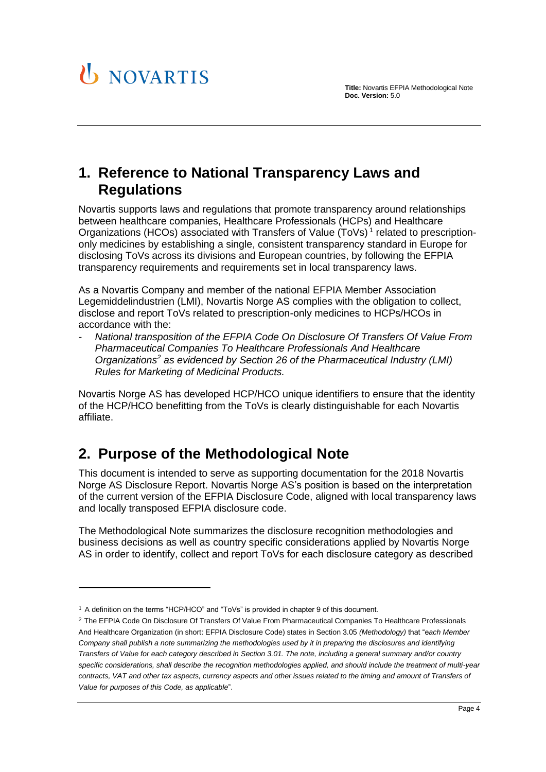

## <span id="page-3-0"></span>**1. Reference to National Transparency Laws and Regulations**

Novartis supports laws and regulations that promote transparency around relationships between healthcare companies, Healthcare Professionals (HCPs) and Healthcare Organizations (HCOs) associated with Transfers of Value (ToVs)<sup>1</sup> related to prescriptiononly medicines by establishing a single, consistent transparency standard in Europe for disclosing ToVs across its divisions and European countries, by following the EFPIA transparency requirements and requirements set in local transparency laws.

As a Novartis Company and member of the national EFPIA Member Association Legemiddelindustrien (LMI), Novartis Norge AS complies with the obligation to collect, disclose and report ToVs related to prescription-only medicines to HCPs/HCOs in accordance with the:

- *National transposition of the EFPIA Code On Disclosure Of Transfers Of Value From Pharmaceutical Companies To Healthcare Professionals And Healthcare Organizations<sup>2</sup> as evidenced by Section 26 of the Pharmaceutical Industry (LMI) Rules for Marketing of Medicinal Products.*

Novartis Norge AS has developed HCP/HCO unique identifiers to ensure that the identity of the HCP/HCO benefitting from the ToVs is clearly distinguishable for each Novartis affiliate.

# <span id="page-3-1"></span>**2. Purpose of the Methodological Note**

This document is intended to serve as supporting documentation for the 2018 Novartis Norge AS Disclosure Report. Novartis Norge AS's position is based on the interpretation of the current version of the EFPIA Disclosure Code, aligned with local transparency laws and locally transposed EFPIA disclosure code.

The Methodological Note summarizes the disclosure recognition methodologies and business decisions as well as country specific considerations applied by Novartis Norge AS in order to identify, collect and report ToVs for each disclosure category as described

 $1$  A definition on the terms "HCP/HCO" and "ToVs" is provided in chapter 9 of this document.

<sup>2</sup> The EFPIA Code On Disclosure Of Transfers Of Value From Pharmaceutical Companies To Healthcare Professionals And Healthcare Organization (in short: EFPIA Disclosure Code) states in Section 3.05 *(Methodology)* that "e*ach Member Company shall publish a note summarizing the methodologies used by it in preparing the disclosures and identifying Transfers of Value for each category described in Section 3.01. The note, including a general summary and/or country specific considerations, shall describe the recognition methodologies applied, and should include the treatment of multi-year contracts, VAT and other tax aspects, currency aspects and other issues related to the timing and amount of Transfers of Value for purposes of this Code, as applicable*".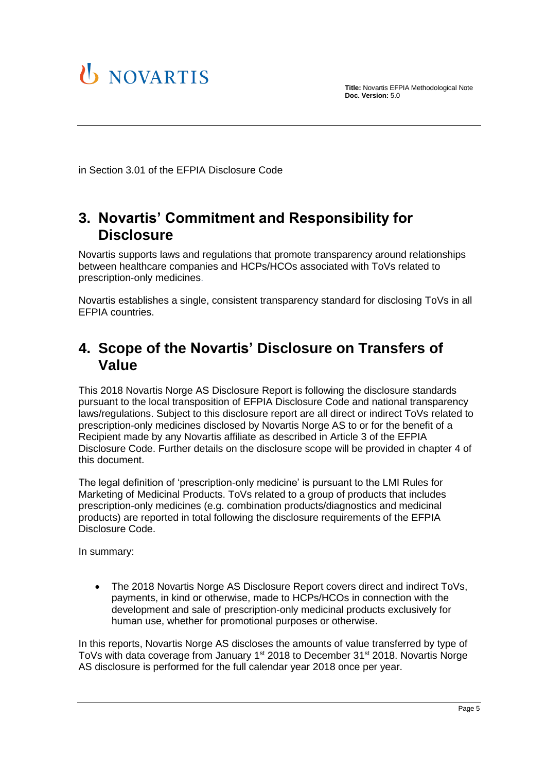

in Section 3.01 of the EFPIA Disclosure Code

# <span id="page-4-0"></span>**3. Novartis' Commitment and Responsibility for Disclosure**

Novartis supports laws and regulations that promote transparency around relationships between healthcare companies and HCPs/HCOs associated with ToVs related to prescription-only medicines.

Novartis establishes a single, consistent transparency standard for disclosing ToVs in all EFPIA countries.

## <span id="page-4-1"></span>**4. Scope of the Novartis' Disclosure on Transfers of Value**

This 2018 Novartis Norge AS Disclosure Report is following the disclosure standards pursuant to the local transposition of EFPIA Disclosure Code and national transparency laws/regulations. Subject to this disclosure report are all direct or indirect ToVs related to prescription-only medicines disclosed by Novartis Norge AS to or for the benefit of a Recipient made by any Novartis affiliate as described in Article 3 of the EFPIA Disclosure Code. Further details on the disclosure scope will be provided in chapter 4 of this document.

The legal definition of 'prescription-only medicine' is pursuant to the LMI Rules for Marketing of Medicinal Products. ToVs related to a group of products that includes prescription-only medicines (e.g. combination products/diagnostics and medicinal products) are reported in total following the disclosure requirements of the EFPIA Disclosure Code.

In summary:

 The 2018 Novartis Norge AS Disclosure Report covers direct and indirect ToVs, payments, in kind or otherwise, made to HCPs/HCOs in connection with the development and sale of prescription-only medicinal products exclusively for human use, whether for promotional purposes or otherwise.

In this reports, Novartis Norge AS discloses the amounts of value transferred by type of ToVs with data coverage from January 1<sup>st</sup> 2018 to December 31<sup>st</sup> 2018. Novartis Norge AS disclosure is performed for the full calendar year 2018 once per year.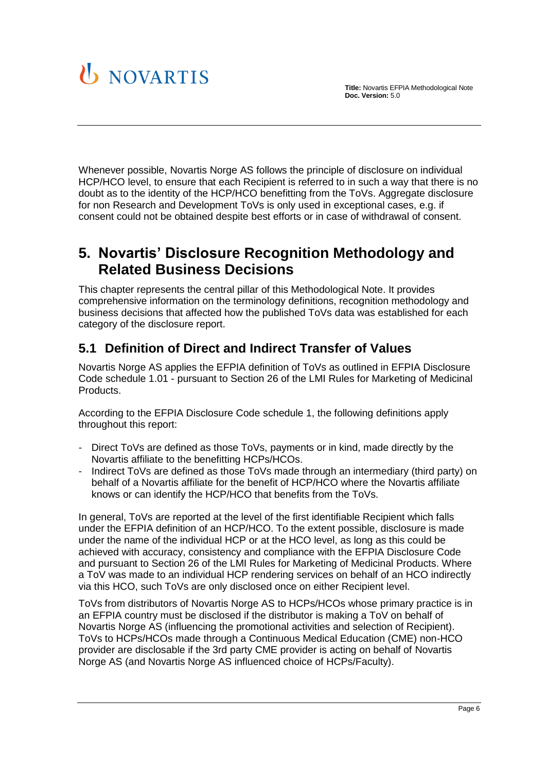

Whenever possible, Novartis Norge AS follows the principle of disclosure on individual HCP/HCO level, to ensure that each Recipient is referred to in such a way that there is no doubt as to the identity of the HCP/HCO benefitting from the ToVs. Aggregate disclosure for non Research and Development ToVs is only used in exceptional cases, e.g. if consent could not be obtained despite best efforts or in case of withdrawal of consent.

# <span id="page-5-0"></span>**5. Novartis' Disclosure Recognition Methodology and Related Business Decisions**

This chapter represents the central pillar of this Methodological Note. It provides comprehensive information on the terminology definitions, recognition methodology and business decisions that affected how the published ToVs data was established for each category of the disclosure report.

## <span id="page-5-1"></span>**5.1 Definition of Direct and Indirect Transfer of Values**

Novartis Norge AS applies the EFPIA definition of ToVs as outlined in EFPIA Disclosure Code schedule 1.01 - pursuant to Section 26 of the LMI Rules for Marketing of Medicinal Products.

According to the EFPIA Disclosure Code schedule 1, the following definitions apply throughout this report:

- Direct ToVs are defined as those ToVs, payments or in kind, made directly by the Novartis affiliate to the benefitting HCPs/HCOs.
- Indirect ToVs are defined as those ToVs made through an intermediary (third party) on behalf of a Novartis affiliate for the benefit of HCP/HCO where the Novartis affiliate knows or can identify the HCP/HCO that benefits from the ToVs.

In general, ToVs are reported at the level of the first identifiable Recipient which falls under the EFPIA definition of an HCP/HCO. To the extent possible, disclosure is made under the name of the individual HCP or at the HCO level, as long as this could be achieved with accuracy, consistency and compliance with the EFPIA Disclosure Code and pursuant to Section 26 of the LMI Rules for Marketing of Medicinal Products. Where a ToV was made to an individual HCP rendering services on behalf of an HCO indirectly via this HCO, such ToVs are only disclosed once on either Recipient level.

ToVs from distributors of Novartis Norge AS to HCPs/HCOs whose primary practice is in an EFPIA country must be disclosed if the distributor is making a ToV on behalf of Novartis Norge AS (influencing the promotional activities and selection of Recipient). ToVs to HCPs/HCOs made through a Continuous Medical Education (CME) non-HCO provider are disclosable if the 3rd party CME provider is acting on behalf of Novartis Norge AS (and Novartis Norge AS influenced choice of HCPs/Faculty).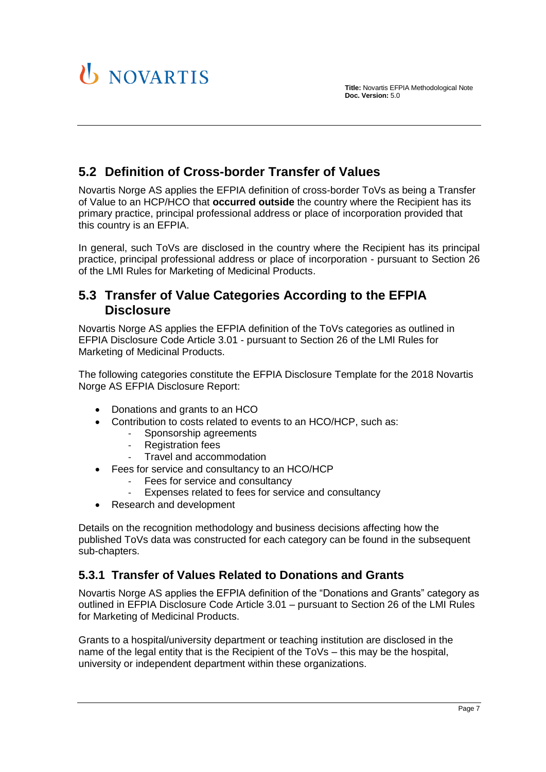# U NOVARTIS

## <span id="page-6-0"></span>**5.2 Definition of Cross-border Transfer of Values**

Novartis Norge AS applies the EFPIA definition of cross-border ToVs as being a Transfer of Value to an HCP/HCO that **occurred outside** the country where the Recipient has its primary practice, principal professional address or place of incorporation provided that this country is an EFPIA.

In general, such ToVs are disclosed in the country where the Recipient has its principal practice, principal professional address or place of incorporation - pursuant to Section 26 of the LMI Rules for Marketing of Medicinal Products.

#### <span id="page-6-1"></span>**5.3 Transfer of Value Categories According to the EFPIA Disclosure**

Novartis Norge AS applies the EFPIA definition of the ToVs categories as outlined in EFPIA Disclosure Code Article 3.01 - pursuant to Section 26 of the LMI Rules for Marketing of Medicinal Products.

The following categories constitute the EFPIA Disclosure Template for the 2018 Novartis Norge AS EFPIA Disclosure Report:

- Donations and grants to an HCO
- Contribution to costs related to events to an HCO/HCP, such as:
	- Sponsorship agreements
	- **Registration fees**
	- Travel and accommodation
- Fees for service and consultancy to an HCO/HCP
	- Fees for service and consultancy
	- Expenses related to fees for service and consultancy
- Research and development

Details on the recognition methodology and business decisions affecting how the published ToVs data was constructed for each category can be found in the subsequent sub-chapters.

#### <span id="page-6-2"></span>**5.3.1 Transfer of Values Related to Donations and Grants**

Novartis Norge AS applies the EFPIA definition of the "Donations and Grants" category as outlined in EFPIA Disclosure Code Article 3.01 – pursuant to Section 26 of the LMI Rules for Marketing of Medicinal Products.

Grants to a hospital/university department or teaching institution are disclosed in the name of the legal entity that is the Recipient of the ToVs – this may be the hospital, university or independent department within these organizations.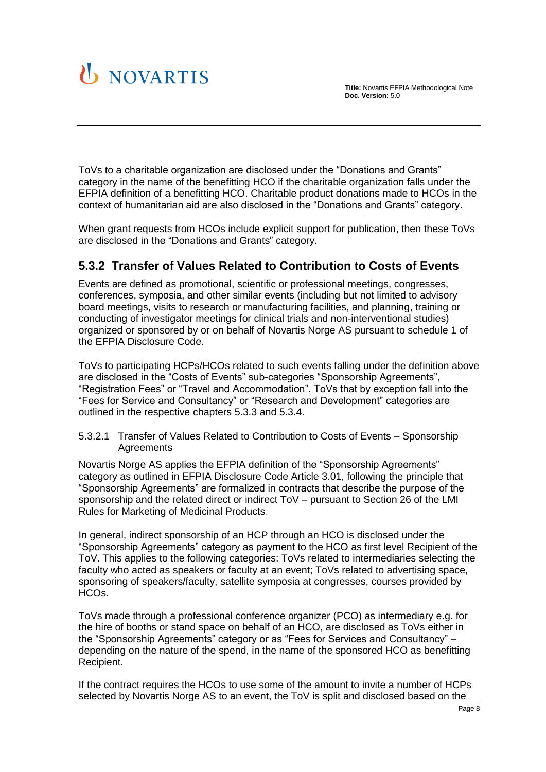

ToVs to a charitable organization are disclosed under the "Donations and Grants" category in the name of the benefitting HCO if the charitable organization falls under the EFPIA definition of a benefitting HCO. Charitable product donations made to HCOs in the context of humanitarian aid are also disclosed in the "Donations and Grants" category.

When grant requests from HCOs include explicit support for publication, then these ToVs are disclosed in the "Donations and Grants" category.

#### <span id="page-7-0"></span>**5.3.2 Transfer of Values Related to Contribution to Costs of Events**

Events are defined as promotional, scientific or professional meetings, congresses, conferences, symposia, and other similar events (including but not limited to advisory board meetings, visits to research or manufacturing facilities, and planning, training or conducting of investigator meetings for clinical trials and non-interventional studies) organized or sponsored by or on behalf of Novartis Norge AS pursuant to schedule 1 of the EFPIA Disclosure Code.

ToVs to participating HCPs/HCOs related to such events falling under the definition above are disclosed in the "Costs of Events" sub-categories "Sponsorship Agreements", "Registration Fees" or "Travel and Accommodation". ToVs that by exception fall into the "Fees for Service and Consultancy" or "Research and Development" categories are outlined in the respective chapters [5.3.3](#page-9-0) and [5.3.4.](#page-10-1)

<span id="page-7-1"></span>5.3.2.1 Transfer of Values Related to Contribution to Costs of Events – Sponsorship **Agreements** 

Novartis Norge AS applies the EFPIA definition of the "Sponsorship Agreements" category as outlined in EFPIA Disclosure Code Article 3.01, following the principle that "Sponsorship Agreements" are formalized in contracts that describe the purpose of the sponsorship and the related direct or indirect ToV – pursuant to Section 26 of the LMI Rules for Marketing of Medicinal Products.

In general, indirect sponsorship of an HCP through an HCO is disclosed under the "Sponsorship Agreements" category as payment to the HCO as first level Recipient of the ToV. This applies to the following categories: ToVs related to intermediaries selecting the faculty who acted as speakers or faculty at an event; ToVs related to advertising space, sponsoring of speakers/faculty, satellite symposia at congresses, courses provided by HCOs.

ToVs made through a professional conference organizer (PCO) as intermediary e.g. for the hire of booths or stand space on behalf of an HCO, are disclosed as ToVs either in the "Sponsorship Agreements" category or as "Fees for Services and Consultancy" – depending on the nature of the spend, in the name of the sponsored HCO as benefitting Recipient.

If the contract requires the HCOs to use some of the amount to invite a number of HCPs selected by Novartis Norge AS to an event, the ToV is split and disclosed based on the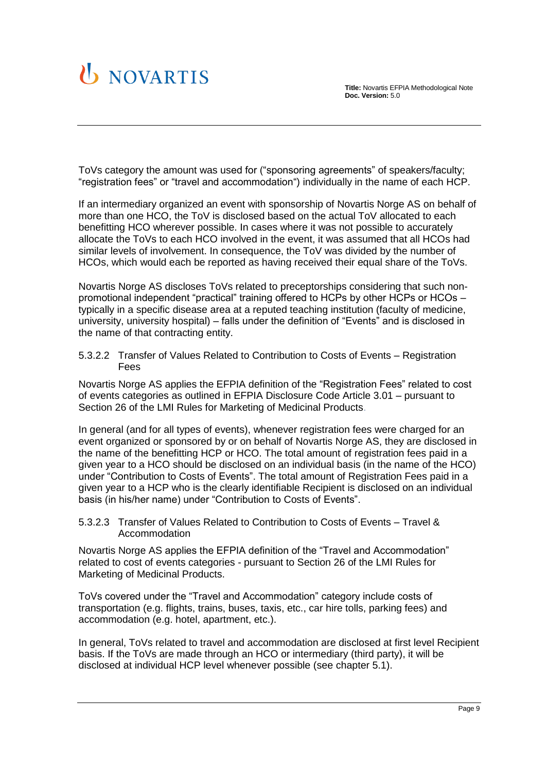

ToVs category the amount was used for ("sponsoring agreements" of speakers/faculty; "registration fees" or "travel and accommodation") individually in the name of each HCP.

If an intermediary organized an event with sponsorship of Novartis Norge AS on behalf of more than one HCO, the ToV is disclosed based on the actual ToV allocated to each benefitting HCO wherever possible. In cases where it was not possible to accurately allocate the ToVs to each HCO involved in the event, it was assumed that all HCOs had similar levels of involvement. In consequence, the ToV was divided by the number of HCOs, which would each be reported as having received their equal share of the ToVs.

Novartis Norge AS discloses ToVs related to preceptorships considering that such nonpromotional independent "practical" training offered to HCPs by other HCPs or HCOs – typically in a specific disease area at a reputed teaching institution (faculty of medicine, university, university hospital) – falls under the definition of "Events" and is disclosed in the name of that contracting entity.

<span id="page-8-0"></span>5.3.2.2 Transfer of Values Related to Contribution to Costs of Events – Registration Fees

Novartis Norge AS applies the EFPIA definition of the "Registration Fees" related to cost of events categories as outlined in EFPIA Disclosure Code Article 3.01 – pursuant to Section 26 of the LMI Rules for Marketing of Medicinal Products.

In general (and for all types of events), whenever registration fees were charged for an event organized or sponsored by or on behalf of Novartis Norge AS, they are disclosed in the name of the benefitting HCP or HCO. The total amount of registration fees paid in a given year to a HCO should be disclosed on an individual basis (in the name of the HCO) under "Contribution to Costs of Events". The total amount of Registration Fees paid in a given year to a HCP who is the clearly identifiable Recipient is disclosed on an individual basis (in his/her name) under "Contribution to Costs of Events".

<span id="page-8-1"></span>5.3.2.3 Transfer of Values Related to Contribution to Costs of Events – Travel & Accommodation

Novartis Norge AS applies the EFPIA definition of the "Travel and Accommodation" related to cost of events categories - pursuant to Section 26 of the LMI Rules for Marketing of Medicinal Products.

ToVs covered under the "Travel and Accommodation" category include costs of transportation (e.g. flights, trains, buses, taxis, etc., car hire tolls, parking fees) and accommodation (e.g. hotel, apartment, etc.).

In general, ToVs related to travel and accommodation are disclosed at first level Recipient basis. If the ToVs are made through an HCO or intermediary (third party), it will be disclosed at individual HCP level whenever possible (see chapter [5.1\)](#page-5-1).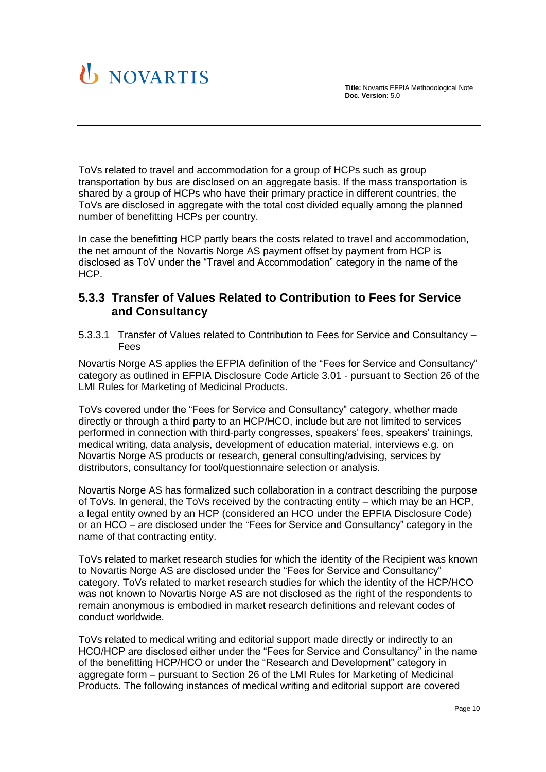

ToVs related to travel and accommodation for a group of HCPs such as group transportation by bus are disclosed on an aggregate basis. If the mass transportation is shared by a group of HCPs who have their primary practice in different countries, the ToVs are disclosed in aggregate with the total cost divided equally among the planned number of benefitting HCPs per country.

In case the benefitting HCP partly bears the costs related to travel and accommodation, the net amount of the Novartis Norge AS payment offset by payment from HCP is disclosed as ToV under the "Travel and Accommodation" category in the name of the HCP.

#### <span id="page-9-0"></span>**5.3.3 Transfer of Values Related to Contribution to Fees for Service and Consultancy**

<span id="page-9-1"></span>5.3.3.1 Transfer of Values related to Contribution to Fees for Service and Consultancy – Fees

Novartis Norge AS applies the EFPIA definition of the "Fees for Service and Consultancy" category as outlined in EFPIA Disclosure Code Article 3.01 - pursuant to Section 26 of the LMI Rules for Marketing of Medicinal Products.

ToVs covered under the "Fees for Service and Consultancy" category, whether made directly or through a third party to an HCP/HCO, include but are not limited to services performed in connection with third-party congresses, speakers' fees, speakers' trainings, medical writing, data analysis, development of education material, interviews e.g. on Novartis Norge AS products or research, general consulting/advising, services by distributors, consultancy for tool/questionnaire selection or analysis.

Novartis Norge AS has formalized such collaboration in a contract describing the purpose of ToVs. In general, the ToVs received by the contracting entity – which may be an HCP, a legal entity owned by an HCP (considered an HCO under the EPFIA Disclosure Code) or an HCO – are disclosed under the "Fees for Service and Consultancy" category in the name of that contracting entity.

ToVs related to market research studies for which the identity of the Recipient was known to Novartis Norge AS are disclosed under the "Fees for Service and Consultancy" category. ToVs related to market research studies for which the identity of the HCP/HCO was not known to Novartis Norge AS are not disclosed as the right of the respondents to remain anonymous is embodied in market research definitions and relevant codes of conduct worldwide.

ToVs related to medical writing and editorial support made directly or indirectly to an HCO/HCP are disclosed either under the "Fees for Service and Consultancy" in the name of the benefitting HCP/HCO or under the "Research and Development" category in aggregate form – pursuant to Section 26 of the LMI Rules for Marketing of Medicinal Products. The following instances of medical writing and editorial support are covered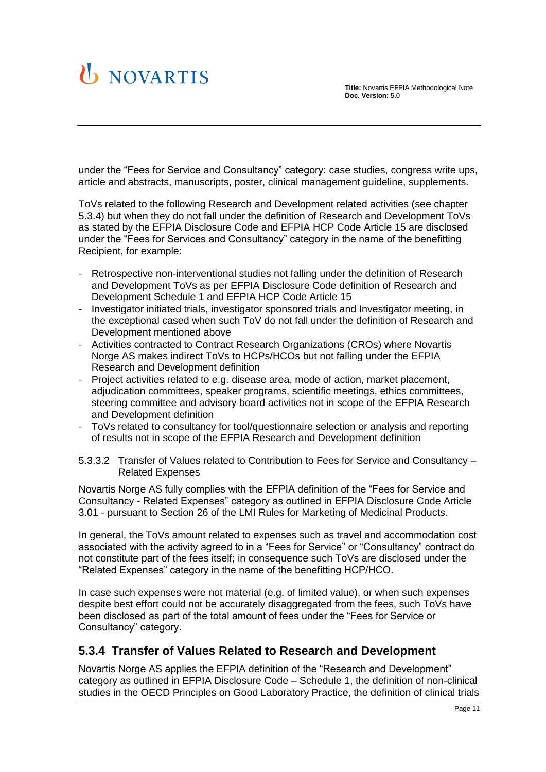under the "Fees for Service and Consultancy" category: case studies, congress write ups, article and abstracts, manuscripts, poster, clinical management guideline, supplements.

ToVs related to the following Research and Development related activities (see chapter [5.3.4\)](#page-10-1) but when they do not fall under the definition of Research and Development ToVs as stated by the EFPIA Disclosure Code and EFPIA HCP Code Article 15 are disclosed under the "Fees for Services and Consultancy" category in the name of the benefitting Recipient, for example:

- Retrospective non-interventional studies not falling under the definition of Research and Development ToVs as per EFPIA Disclosure Code definition of Research and Development Schedule 1 and EFPIA HCP Code Article 15
- Investigator initiated trials, investigator sponsored trials and Investigator meeting, in the exceptional cased when such ToV do not fall under the definition of Research and Development mentioned above
- Activities contracted to Contract Research Organizations (CROs) where Novartis Norge AS makes indirect ToVs to HCPs/HCOs but not falling under the EFPIA Research and Development definition
- Project activities related to e.g. disease area, mode of action, market placement, adjudication committees, speaker programs, scientific meetings, ethics committees, steering committee and advisory board activities not in scope of the EFPIA Research and Development definition
- ToVs related to consultancy for tool/questionnaire selection or analysis and reporting of results not in scope of the EFPIA Research and Development definition

<span id="page-10-0"></span>5.3.3.2 Transfer of Values related to Contribution to Fees for Service and Consultancy – Related Expenses

Novartis Norge AS fully complies with the EFPIA definition of the "Fees for Service and Consultancy - Related Expenses" category as outlined in EFPIA Disclosure Code Article 3.01 - pursuant to Section 26 of the LMI Rules for Marketing of Medicinal Products.

In general, the ToVs amount related to expenses such as travel and accommodation cost associated with the activity agreed to in a "Fees for Service" or "Consultancy" contract do not constitute part of the fees itself; in consequence such ToVs are disclosed under the "Related Expenses" category in the name of the benefitting HCP/HCO.

In case such expenses were not material (e.g. of limited value), or when such expenses despite best effort could not be accurately disaggregated from the fees, such ToVs have been disclosed as part of the total amount of fees under the "Fees for Service or Consultancy" category.

#### <span id="page-10-1"></span>**5.3.4 Transfer of Values Related to Research and Development**

Novartis Norge AS applies the EFPIA definition of the "Research and Development" category as outlined in EFPIA Disclosure Code – Schedule 1, the definition of non-clinical studies in the OECD Principles on Good Laboratory Practice, the definition of clinical trials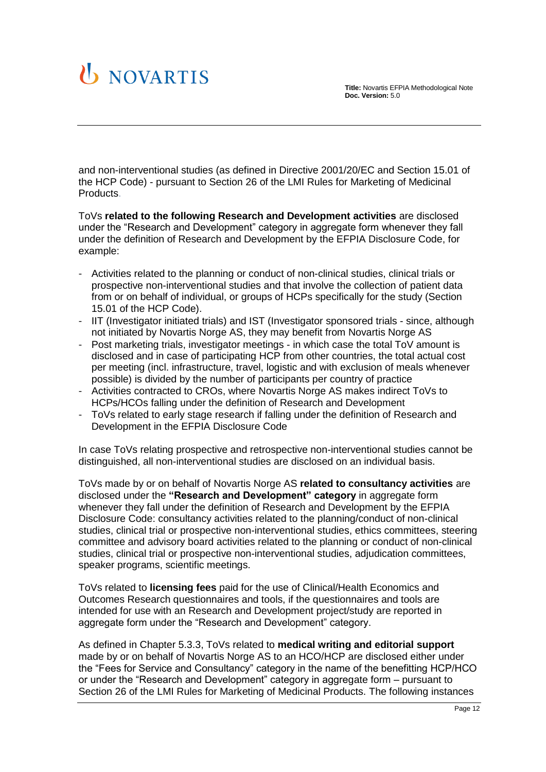# U NOVARTIS

and non-interventional studies (as defined in Directive 2001/20/EC and Section 15.01 of the HCP Code) - pursuant to Section 26 of the LMI Rules for Marketing of Medicinal Products.

ToVs **related to the following Research and Development activities** are disclosed under the "Research and Development" category in aggregate form whenever they fall under the definition of Research and Development by the EFPIA Disclosure Code, for example:

- Activities related to the planning or conduct of non-clinical studies, clinical trials or prospective non-interventional studies and that involve the collection of patient data from or on behalf of individual, or groups of HCPs specifically for the study (Section 15.01 of the HCP Code).
- IIT (Investigator initiated trials) and IST (Investigator sponsored trials since, although not initiated by Novartis Norge AS, they may benefit from Novartis Norge AS
- Post marketing trials, investigator meetings in which case the total ToV amount is disclosed and in case of participating HCP from other countries, the total actual cost per meeting (incl. infrastructure, travel, logistic and with exclusion of meals whenever possible) is divided by the number of participants per country of practice
- Activities contracted to CROs, where Novartis Norge AS makes indirect ToVs to HCPs/HCOs falling under the definition of Research and Development
- ToVs related to early stage research if falling under the definition of Research and Development in the EFPIA Disclosure Code

In case ToVs relating prospective and retrospective non-interventional studies cannot be distinguished, all non-interventional studies are disclosed on an individual basis.

ToVs made by or on behalf of Novartis Norge AS **related to consultancy activities** are disclosed under the **"Research and Development" category** in aggregate form whenever they fall under the definition of Research and Development by the EFPIA Disclosure Code: consultancy activities related to the planning/conduct of non-clinical studies, clinical trial or prospective non-interventional studies, ethics committees, steering committee and advisory board activities related to the planning or conduct of non-clinical studies, clinical trial or prospective non-interventional studies, adjudication committees, speaker programs, scientific meetings.

ToVs related to **licensing fees** paid for the use of Clinical/Health Economics and Outcomes Research questionnaires and tools, if the questionnaires and tools are intended for use with an Research and Development project/study are reported in aggregate form under the "Research and Development" category.

As defined in Chapter 5.3.3, ToVs related to **medical writing and editorial support**  made by or on behalf of Novartis Norge AS to an HCO/HCP are disclosed either under the "Fees for Service and Consultancy" category in the name of the benefitting HCP/HCO or under the "Research and Development" category in aggregate form – pursuant to Section 26 of the LMI Rules for Marketing of Medicinal Products. The following instances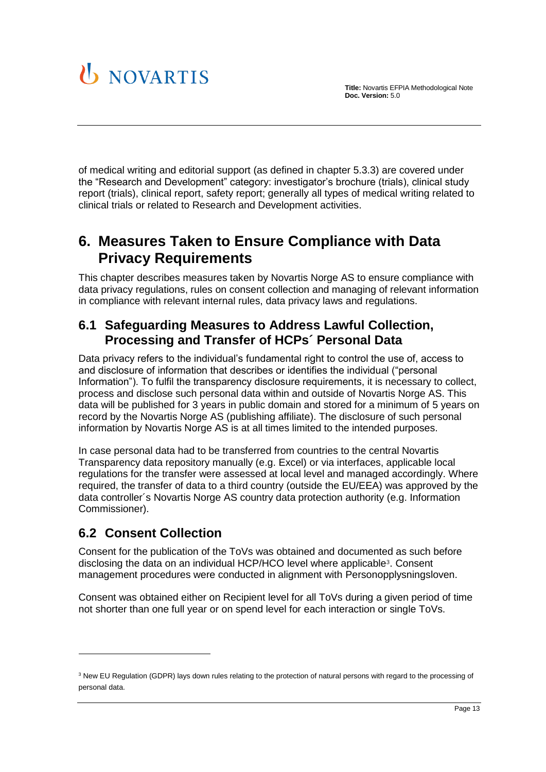

of medical writing and editorial support (as defined in chapter [5.3.3\)](#page-9-0) are covered under the "Research and Development" category: investigator's brochure (trials), clinical study report (trials), clinical report, safety report; generally all types of medical writing related to clinical trials or related to Research and Development activities.

# <span id="page-12-0"></span>**6. Measures Taken to Ensure Compliance with Data Privacy Requirements**

This chapter describes measures taken by Novartis Norge AS to ensure compliance with data privacy regulations, rules on consent collection and managing of relevant information in compliance with relevant internal rules, data privacy laws and regulations.

### <span id="page-12-1"></span>**6.1 Safeguarding Measures to Address Lawful Collection, Processing and Transfer of HCPs´ Personal Data**

Data privacy refers to the individual's fundamental right to control the use of, access to and disclosure of information that describes or identifies the individual ("personal Information"). To fulfil the transparency disclosure requirements, it is necessary to collect, process and disclose such personal data within and outside of Novartis Norge AS. This data will be published for 3 years in public domain and stored for a minimum of 5 years on record by the Novartis Norge AS (publishing affiliate). The disclosure of such personal information by Novartis Norge AS is at all times limited to the intended purposes.

In case personal data had to be transferred from countries to the central Novartis Transparency data repository manually (e.g. Excel) or via interfaces, applicable local regulations for the transfer were assessed at local level and managed accordingly. Where required, the transfer of data to a third country (outside the EU/EEA) was approved by the data controller´s Novartis Norge AS country data protection authority (e.g. Information Commissioner).

## <span id="page-12-2"></span>**6.2 Consent Collection**

Consent for the publication of the ToVs was obtained and documented as such before disclosing the data on an individual HCP/HCO level where applicable3. Consent management procedures were conducted in alignment with Personopplysningsloven.

Consent was obtained either on Recipient level for all ToVs during a given period of time not shorter than one full year or on spend level for each interaction or single ToVs.

<sup>&</sup>lt;sup>3</sup> New EU Regulation (GDPR) lays down rules relating to the protection of natural persons with regard to the processing of personal data.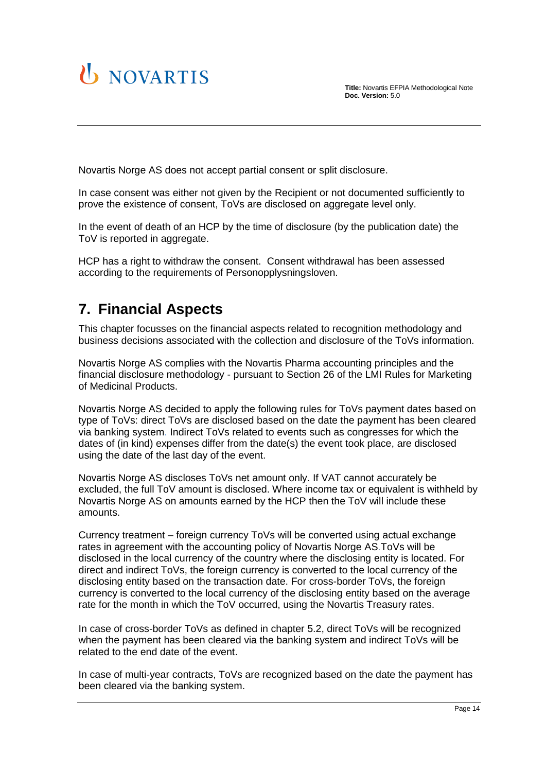

Novartis Norge AS does not accept partial consent or split disclosure.

In case consent was either not given by the Recipient or not documented sufficiently to prove the existence of consent, ToVs are disclosed on aggregate level only.

In the event of death of an HCP by the time of disclosure (by the publication date) the ToV is reported in aggregate.

HCP has a right to withdraw the consent. Consent withdrawal has been assessed according to the requirements of Personopplysningsloven.

# <span id="page-13-0"></span>**7. Financial Aspects**

This chapter focusses on the financial aspects related to recognition methodology and business decisions associated with the collection and disclosure of the ToVs information.

Novartis Norge AS complies with the Novartis Pharma accounting principles and the financial disclosure methodology - pursuant to Section 26 of the LMI Rules for Marketing of Medicinal Products.

Novartis Norge AS decided to apply the following rules for ToVs payment dates based on type of ToVs: direct ToVs are disclosed based on the date the payment has been cleared via banking system. Indirect ToVs related to events such as congresses for which the dates of (in kind) expenses differ from the date(s) the event took place, are disclosed using the date of the last day of the event.

Novartis Norge AS discloses ToVs net amount only. If VAT cannot accurately be excluded, the full ToV amount is disclosed. Where income tax or equivalent is withheld by Novartis Norge AS on amounts earned by the HCP then the ToV will include these amounts.

Currency treatment – foreign currency ToVs will be converted using actual exchange rates in agreement with the accounting policy of Novartis Norge AS.ToVs will be disclosed in the local currency of the country where the disclosing entity is located. For direct and indirect ToVs, the foreign currency is converted to the local currency of the disclosing entity based on the transaction date. For cross-border ToVs, the foreign currency is converted to the local currency of the disclosing entity based on the average rate for the month in which the ToV occurred, using the Novartis Treasury rates.

In case of cross-border ToVs as defined in chapter 5.2, direct ToVs will be recognized when the payment has been cleared via the banking system and indirect ToVs will be related to the end date of the event.

In case of multi-year contracts, ToVs are recognized based on the date the payment has been cleared via the banking system.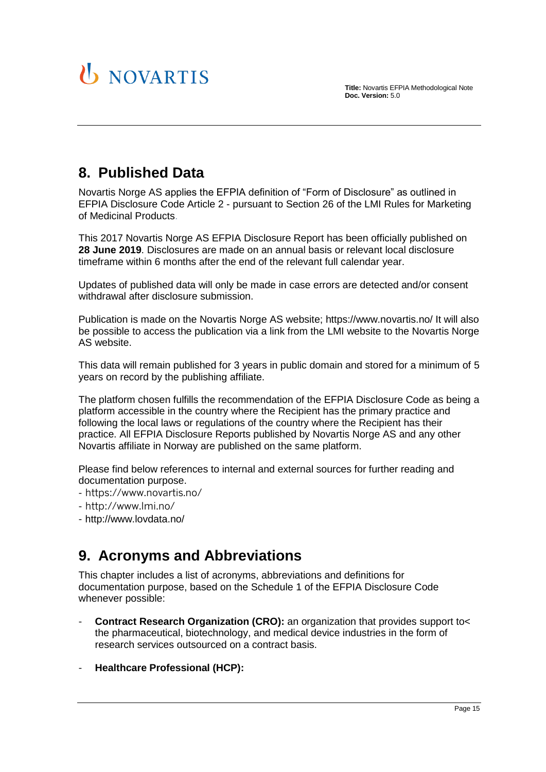

# <span id="page-14-0"></span>**8. Published Data**

Novartis Norge AS applies the EFPIA definition of "Form of Disclosure" as outlined in EFPIA Disclosure Code Article 2 - pursuant to Section 26 of the LMI Rules for Marketing of Medicinal Products.

This 2017 Novartis Norge AS EFPIA Disclosure Report has been officially published on **28 June 2019**. Disclosures are made on an annual basis or relevant local disclosure timeframe within 6 months after the end of the relevant full calendar year.

Updates of published data will only be made in case errors are detected and/or consent withdrawal after disclosure submission.

Publication is made on the Novartis Norge AS website; https://www.novartis.no/ It will also be possible to access the publication via a link from the LMI website to the Novartis Norge AS website.

This data will remain published for 3 years in public domain and stored for a minimum of 5 years on record by the publishing affiliate.

The platform chosen fulfills the recommendation of the EFPIA Disclosure Code as being a platform accessible in the country where the Recipient has the primary practice and following the local laws or regulations of the country where the Recipient has their practice. All EFPIA Disclosure Reports published by Novartis Norge AS and any other Novartis affiliate in Norway are published on the same platform.

Please find below references to internal and external sources for further reading and documentation purpose.

- https://www.novartis.no/
- http://www.lmi.no/
- <span id="page-14-1"></span>- http://www.lovdata.no/

## **9. Acronyms and Abbreviations**

This chapter includes a list of acronyms, abbreviations and definitions for documentation purpose, based on the Schedule 1 of the EFPIA Disclosure Code whenever possible:

- **Contract Research Organization (CRO):** an organization that provides support to< the pharmaceutical, biotechnology, and medical device industries in the form of research services outsourced on a contract basis.
- **Healthcare Professional (HCP):**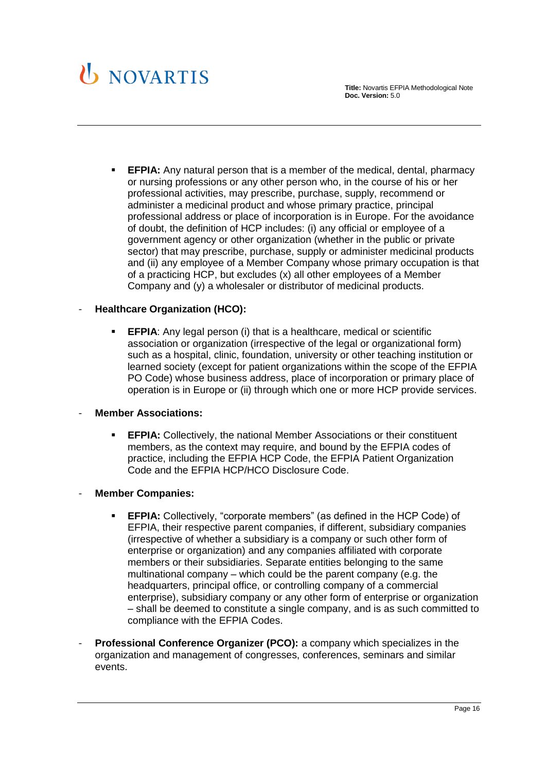

**EFPIA:** Any natural person that is a member of the medical, dental, pharmacy or nursing professions or any other person who, in the course of his or her professional activities, may prescribe, purchase, supply, recommend or administer a medicinal product and whose primary practice, principal professional address or place of incorporation is in Europe. For the avoidance of doubt, the definition of HCP includes: (i) any official or employee of a government agency or other organization (whether in the public or private sector) that may prescribe, purchase, supply or administer medicinal products and (ii) any employee of a Member Company whose primary occupation is that of a practicing HCP, but excludes (x) all other employees of a Member Company and (y) a wholesaler or distributor of medicinal products.

#### - **Healthcare Organization (HCO):**

**EFPIA:** Any legal person (i) that is a healthcare, medical or scientific association or organization (irrespective of the legal or organizational form) such as a hospital, clinic, foundation, university or other teaching institution or learned society (except for patient organizations within the scope of the EFPIA PO Code) whose business address, place of incorporation or primary place of operation is in Europe or (ii) through which one or more HCP provide services.

#### - **Member Associations:**

- **EFPIA:** Collectively, the national Member Associations or their constituent members, as the context may require, and bound by the EFPIA codes of practice, including the EFPIA HCP Code, the EFPIA Patient Organization Code and the EFPIA HCP/HCO Disclosure Code.
- **Member Companies:** 
	- **EFPIA:** Collectively, "corporate members" (as defined in the HCP Code) of EFPIA, their respective parent companies, if different, subsidiary companies (irrespective of whether a subsidiary is a company or such other form of enterprise or organization) and any companies affiliated with corporate members or their subsidiaries. Separate entities belonging to the same multinational company – which could be the parent company (e.g. the headquarters, principal office, or controlling company of a commercial enterprise), subsidiary company or any other form of enterprise or organization – shall be deemed to constitute a single company, and is as such committed to compliance with the EFPIA Codes.
- **Professional Conference Organizer (PCO):** a company which specializes in the organization and management of congresses, conferences, seminars and similar events.